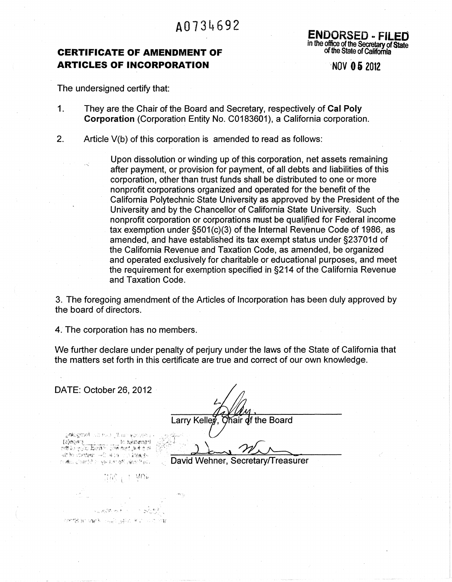# A0734692

# **CERTIFICATE OF AMENDMENT OF ARTICLES OF INCORPORATION**

ENDORSED - FI in the office of the Secretary of State of the State of California

·NOV **05** <sup>2012</sup>

The undersigned certify that:

- 1. They are the Chair of the Board and Secretary, respectively of Cal Poly Corporation (Corporation Entity No. C0183601), a California corporation.
- 2. Article V(b) of this corporation is amended to read as follows:

Upon dissolution or winding up of this corporation, net assets remaining after payment, or provision for payment, of all debts and liabilities of this corporation, other than trust funds shall be distributed to one or more nonprofit corporations organized and operated for the benefit of the California Polytechnic State University as approved by the President of the University and by the Chancellor of California State University. Such nonprofit corporation or corporations must be qualified for Federal income tax exemption under §501(c)(3) of the Internal Revenue Code of 1986, as amended, and have established its tax exempt status under §23701d of the California Revenue and Taxation Code, as amended, be organized and operated exclusively for charitable or educational purposes, and meet the requirement for exemption specified in §214 of the California Revenue and Taxation Code.

3. The foregoing amendment of the Articles of Incorporation has been duly approved by the board of directors.

4. The corporation has no members.

网络格瑟 网络人名德贝隆尔 医血小动脉

We further declare under penalty of perjury under the laws of the State of California that the matters set forth in this certificate are true and correct of our own knowledge.

| DATE: October 26, 2012                                                                                                                                                 |                                   |
|------------------------------------------------------------------------------------------------------------------------------------------------------------------------|-----------------------------------|
|                                                                                                                                                                        | Larry Kelley, Chair of the Board  |
| ൂൽഗ്ലെങ്ങൾ പാഴംഗ്യൂർഷന ഉദേശങ്ങൾ<br>: transdated of<br>Reservation of the section of the<br>(4) 20 month control of the control of the<br>(白癜) 是治院留于 (ging ht 香气 )催眠者会的 | David Wehner, Secretary/Treasurer |
|                                                                                                                                                                        |                                   |
| 경음 : 1 Mum                                                                                                                                                             |                                   |
|                                                                                                                                                                        |                                   |
|                                                                                                                                                                        |                                   |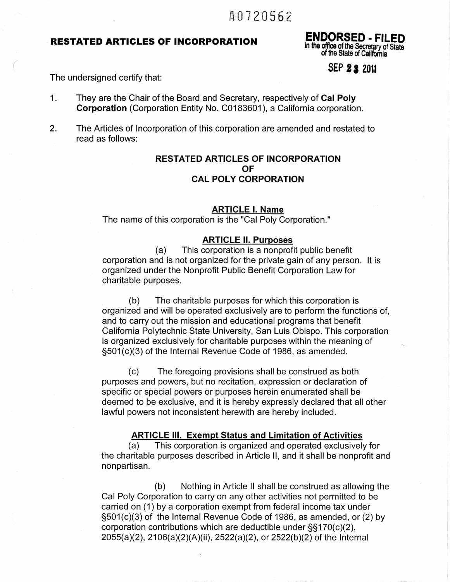# t\0720562

# **RESTATED ARTICLES OF INCORPORATION**

ENDORSED - FILED in the office of the Secretary of State of the State of California

**SEP 22 2011** 

The undersigned certify that:

*(* 

- 1. They are the Chair of the Board and Secretary, respectively of Cal Poly Corporation (Corporation Entity No. C0183601 ), a California corporation.
- 2. The Articles of Incorporation of this corporation are amended and restated to read as follows:

# RESTATED ARTICLES OF INCORPORATION OF CAL POLY CORPORATION

#### ARTICLE I. Name

The name of this corporation is the "Cal Poly Corporation."

#### ARTICLE II. Purposes

(a) This corporation is a nonprofit public benefit corporation and is not organized for the private gain of any person. It is organized under the Nonprofit Public Benefit Corporation Law for charitable purposes.

(b) The charitable purposes for which this corporation is organized and will be operated exclusively are to perform the functions of, and to carry out the mission and educational programs that benefit California Polytechnic State University, San Luis Obispo. This corporation is organized exclusively for charitable purposes within the meaning of §501(c)(3) of the Internal Revenue Code of 1986, as amended.

(c) The foregoing provisions shall be construed as both purposes and powers, but no recitation, expression or declaration of specific or special powers or purposes herein enumerated shall be deemed to be exclusive, and it is hereby expressly declared that all other lawful powers not inconsistent herewith are hereby included.

#### ARTICLE Ill. Exempt Status and Limitation of Activities

(a) This corporation is organized and operated exclusively for the charitable purposes described in Article II, and it shall be nonprofit and nonpartisan.

(b) Nothing in Article II shall be construed as allowing the Cal Poly Corporation to carry on any other activities not permitted to be carried on (1) by a corporation exempt from federal income tax under §501(c)(3) of the Internal Revenue Code of 1986, as amended, or (2) by corporation contributions which are deductible under §§170(c)(2), 2055(a)(2), 21 06(a)(2)(A)(ii), 2522(a)(2), or 2522(b )(2) of the Internal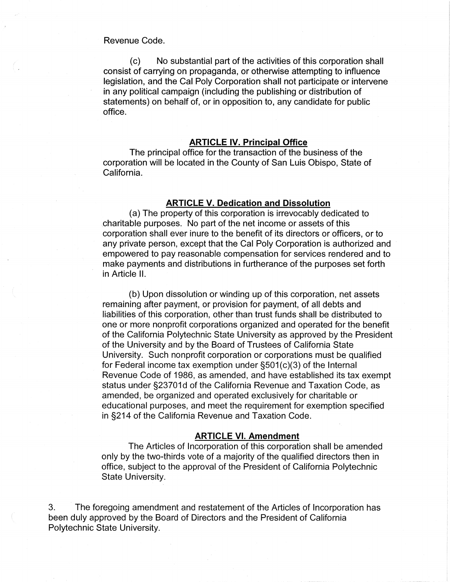Revenue Code.

(c) No substantial part of the activities of this corporation shall consist of carrying on propaganda, or otherwise attempting to influence legislation, and the Cal Poly Corporation shall not participate or intervene in any political campaign (including the publishing or distribution of statements) on behalf of, or in opposition to, any candidate for public office.

#### **ARTICLE** IV. **Principal Office**

The principal office for the transaction of the business of the corporation will be located in the County of San Luis Obispo, State of California.

### **ARTICLE V. Dedication and Dissolution**

(a) The property of this corporation is irrevocably dedicated to ,charitable purposes. No part of the net income or assets of this corporation shall ever inure to the benefit of its directors or officers, or to any private person, except that the Cal Poly Corporation is authorized and empowered to pay reasonable compensation for services rendered and to make payments and distributions in furtherance of the purposes set forth in Article II.

(b) Upon dissolution or winding up of this corporation, net assets remaining after payment, or provision for payment, of all debts and liabilities of this corporation, other than trust funds shall be distributed to one or more nonprofit corporations organized and operated for the benefit of the California Polytechnic State University as approved by the President of the University and by the Board of Trustees of California State University. Such nonprofit corporation or corporations must be qualified for Federal income tax exemption under §501(c)(3) of the Internal Revenue Code of 1986, as amended, and have established its tax exempt status under §23701d of the California Revenue and Taxation Code, as amended, be organized and operated exclusively for charitable or educational purposes, and meet the requirement for exemption specified in §214 of the California Revenue and Taxation Code.

### **ARTICLE** VI. **Amendment**

The Articles of Incorporation of this corporation shall be amended only by the two-thirds vote of a majority of the qualified directors then in office, subject to the approval of the President of California Polytechnic State University.

3. The foregoing amendment and restatement of the Articles of Incorporation has been duly approved by the Board of Directors and the President of California Polytechnic State University.